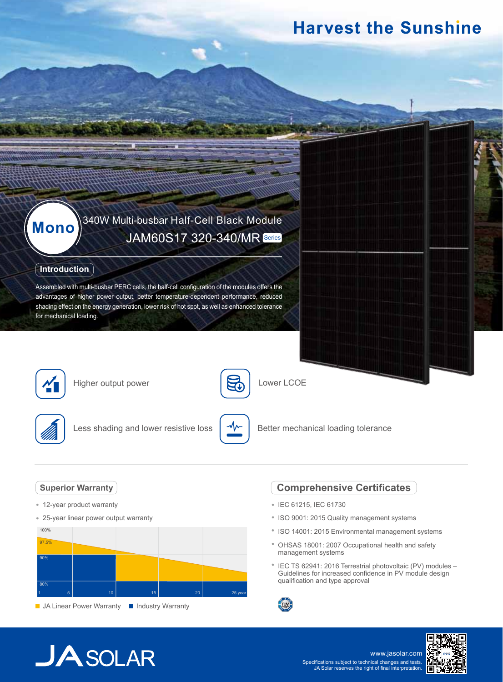# **Harvest the Sunshine**

# 340W Multi-busbar Half-Cell Black Module **Mono** JAM60S17 320-340/MR Series

### **Introduction**

Assembled with multi-busbar PERC cells, the half-cell configuration of the modules offers the advantages of higher power output, better temperature-dependent performance, reduced shading effect on the energy generation, lower risk of hot spot, as well as enhanced tolerance for mechanical loading.



Higher output power



Lower LCOE



Less shading and lower resistive loss



Better mechanical loading tolerance

### **Superior Warranty**

- 12-year product warranty
- 25-year linear power output warranty



### **Comprehensive Certificates**

- IEC 61215, IEC 61730
- ISO 9001: 2015 Quality management systems
- ISO 14001: 2015 Environmental management systems
- OHSAS 18001: 2007 Occupational health and safety management systems
- <sup>\*</sup> IEC TS 62941: 2016 Terrestrial photovoltaic (PV) modules -Guidelines for increased confidence in PV module design qualification and type approval



# **JA**SOLAR

www.jasolar.com Specifications subject to technical changes and tests. JA Solar reserves the right of final interpretation.